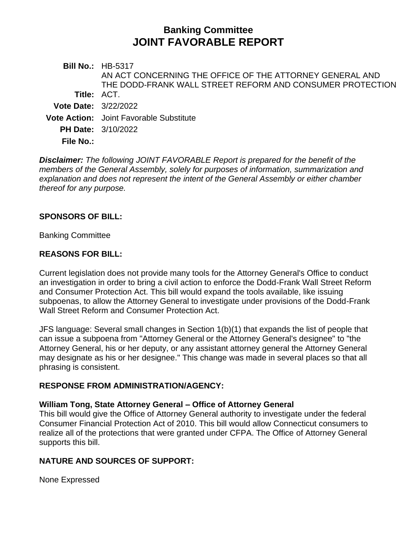# **Banking Committee JOINT FAVORABLE REPORT**

**Bill No.:** HB-5317 **Title:** ACT. AN ACT CONCERNING THE OFFICE OF THE ATTORNEY GENERAL AND THE DODD-FRANK WALL STREET REFORM AND CONSUMER PROTECTION **Vote Date:** 3/22/2022 **Vote Action:** Joint Favorable Substitute **PH Date:** 3/10/2022 **File No.:**

*Disclaimer: The following JOINT FAVORABLE Report is prepared for the benefit of the members of the General Assembly, solely for purposes of information, summarization and explanation and does not represent the intent of the General Assembly or either chamber thereof for any purpose.*

## **SPONSORS OF BILL:**

Banking Committee

## **REASONS FOR BILL:**

Current legislation does not provide many tools for the Attorney General's Office to conduct an investigation in order to bring a civil action to enforce the Dodd-Frank Wall Street Reform and Consumer Protection Act. This bill would expand the tools available, like issuing subpoenas, to allow the Attorney General to investigate under provisions of the Dodd-Frank Wall Street Reform and Consumer Protection Act.

JFS language: Several small changes in Section 1(b)(1) that expands the list of people that can issue a subpoena from "Attorney General or the Attorney General's designee" to "the Attorney General, his or her deputy, or any assistant attorney general the Attorney General may designate as his or her designee." This change was made in several places so that all phrasing is consistent.

## **RESPONSE FROM ADMINISTRATION/AGENCY:**

#### **William Tong, State Attorney General – Office of Attorney General**

This bill would give the Office of Attorney General authority to investigate under the federal Consumer Financial Protection Act of 2010. This bill would allow Connecticut consumers to realize all of the protections that were granted under CFPA. The Office of Attorney General supports this bill.

## **NATURE AND SOURCES OF SUPPORT:**

None Expressed